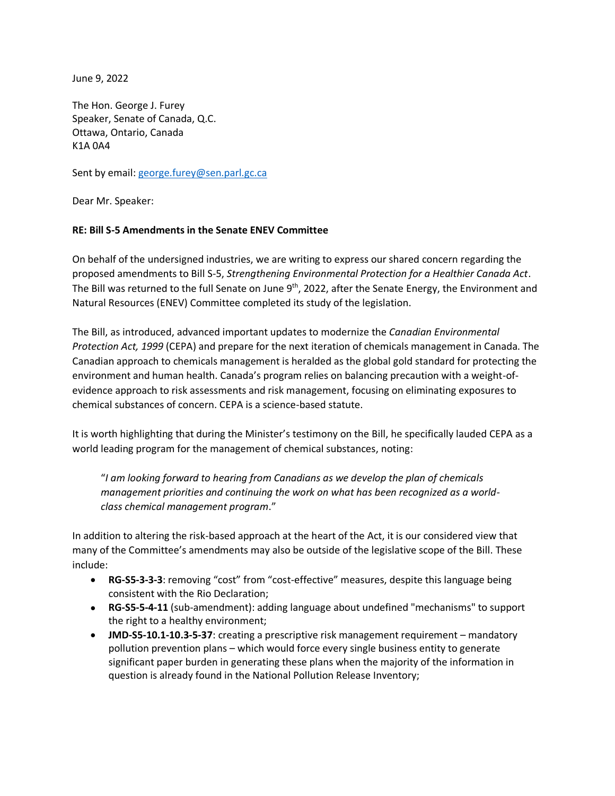June 9, 2022

The Hon. George J. Furey Speaker, Senate of Canada, Q.C. Ottawa, Ontario, Canada K1A 0A4

Sent by email[: george.furey@sen.parl.gc.ca](mailto:george.furey@sen.parl.gc.ca)

Dear Mr. Speaker:

## **RE: Bill S-5 Amendments in the Senate ENEV Committee**

On behalf of the undersigned industries, we are writing to express our shared concern regarding the proposed amendments to Bill S-5, *Strengthening Environmental Protection for a Healthier Canada Act*. The Bill was returned to the full Senate on June 9<sup>th</sup>, 2022, after the Senate Energy, the Environment and Natural Resources (ENEV) Committee completed its study of the legislation.

The Bill, as introduced, advanced important updates to modernize the *Canadian Environmental Protection Act, 1999* (CEPA) and prepare for the next iteration of chemicals management in Canada. The Canadian approach to chemicals management is heralded as the global gold standard for protecting the environment and human health. Canada's program relies on balancing precaution with a weight-ofevidence approach to risk assessments and risk management, focusing on eliminating exposures to chemical substances of concern. CEPA is a science-based statute.

It is worth highlighting that during the Minister's testimony on the Bill, he specifically lauded CEPA as a world leading program for the management of chemical substances, noting:

"*I am looking forward to hearing from Canadians as we develop the plan of chemicals management priorities and continuing the work on what has been recognized as a worldclass chemical management program*."

In addition to altering the risk-based approach at the heart of the Act, it is our considered view that many of the Committee's amendments may also be outside of the legislative scope of the Bill. These include:

- **RG-S5-3-3-3**: removing "cost" from "cost-effective" measures, despite this language being consistent with the Rio Declaration;
- **RG-S5-5-4-11** (sub-amendment): adding language about undefined "mechanisms" to support the right to a healthy environment;
- **JMD-S5-10.1-10.3-5-37**: creating a prescriptive risk management requirement mandatory pollution prevention plans – which would force every single business entity to generate significant paper burden in generating these plans when the majority of the information in question is already found in the National Pollution Release Inventory;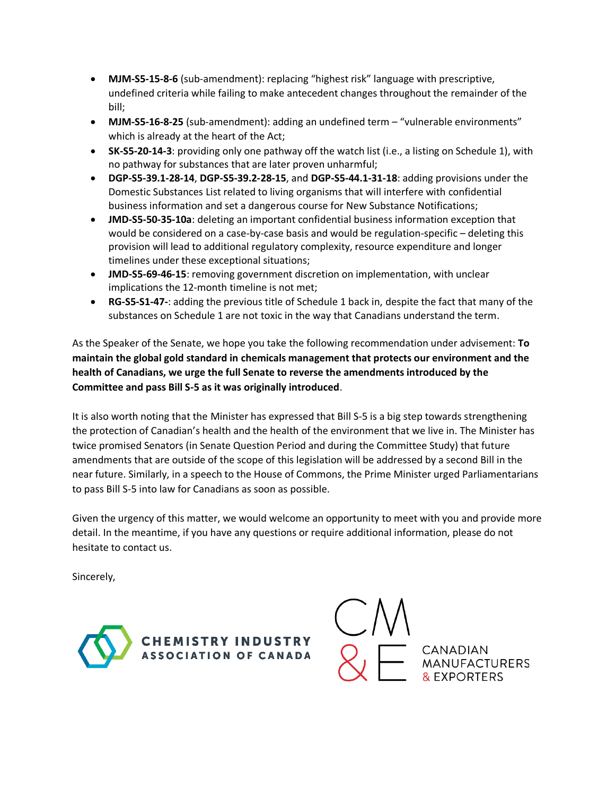- **MJM-S5-15-8-6** (sub-amendment): replacing "highest risk" language with prescriptive, undefined criteria while failing to make antecedent changes throughout the remainder of the bill;
- **MJM-S5-16-8-25** (sub-amendment): adding an undefined term "vulnerable environments" which is already at the heart of the Act;
- **SK-S5-20-14-3**: providing only one pathway off the watch list (i.e., a listing on Schedule 1), with no pathway for substances that are later proven unharmful;
- **DGP-S5-39.1-28-14**, **DGP-S5-39.2-28-15**, and **DGP-S5-44.1-31-18**: adding provisions under the Domestic Substances List related to living organisms that will interfere with confidential business information and set a dangerous course for New Substance Notifications;
- **JMD-S5-50-35-10a**: deleting an important confidential business information exception that would be considered on a case-by-case basis and would be regulation-specific – deleting this provision will lead to additional regulatory complexity, resource expenditure and longer timelines under these exceptional situations;
- **JMD-S5-69-46-15**: removing government discretion on implementation, with unclear implications the 12-month timeline is not met;
- **RG-S5-S1-47-**: adding the previous title of Schedule 1 back in, despite the fact that many of the substances on Schedule 1 are not toxic in the way that Canadians understand the term.

As the Speaker of the Senate, we hope you take the following recommendation under advisement: **To maintain the global gold standard in chemicals management that protects our environment and the health of Canadians, we urge the full Senate to reverse the amendments introduced by the Committee and pass Bill S-5 as it was originally introduced**.

It is also worth noting that the Minister has expressed that Bill S-5 is a big step towards strengthening the protection of Canadian's health and the health of the environment that we live in. The Minister has twice promised Senators (in Senate Question Period and during the Committee Study) that future amendments that are outside of the scope of this legislation will be addressed by a second Bill in the near future. Similarly, in a speech to the House of Commons, the Prime Minister urged Parliamentarians to pass Bill S-5 into law for Canadians as soon as possible.

Given the urgency of this matter, we would welcome an opportunity to meet with you and provide more detail. In the meantime, if you have any questions or require additional information, please do not hesitate to contact us.

Sincerely,